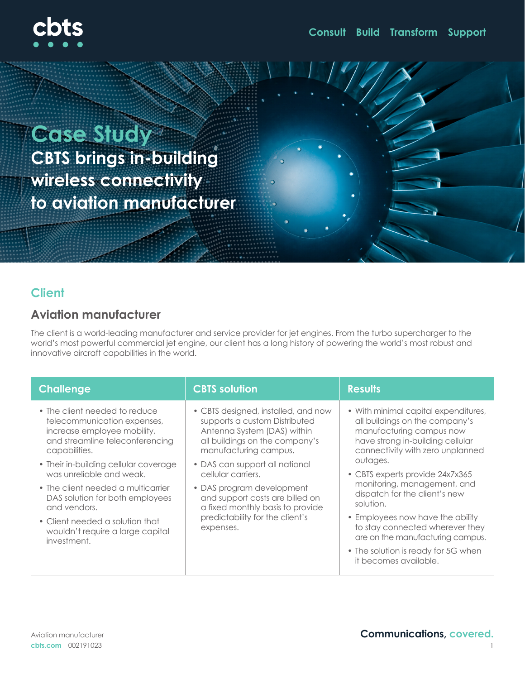

**Case Study CBTS brings in-building wireless connectivity to aviation manufacturer** 

### **Client**

#### **Aviation manufacturer**

The client is a world-leading manufacturer and service provider for jet engines. From the turbo supercharger to the world's most powerful commercial jet engine, our client has a long history of powering the world's most robust and innovative aircraft capabilities in the world.

| <b>Challenge</b>                                                                                                                                                                                                     | <b>CBTS solution</b>                                                                                                                                                                                                   | <b>Results</b>                                                                                                                                                                                                                                                                                         |
|----------------------------------------------------------------------------------------------------------------------------------------------------------------------------------------------------------------------|------------------------------------------------------------------------------------------------------------------------------------------------------------------------------------------------------------------------|--------------------------------------------------------------------------------------------------------------------------------------------------------------------------------------------------------------------------------------------------------------------------------------------------------|
| • The client needed to reduce<br>telecommunication expenses,<br>increase employee mobility,<br>and streamline teleconferencing<br>capabilities.<br>• Their in-building cellular coverage<br>was unreliable and weak. | • CBTS designed, installed, and now<br>supports a custom Distributed<br>Antenna System (DAS) within<br>all buildings on the company's<br>manufacturing campus.<br>• DAS can support all national<br>cellular carriers. | • With minimal capital expenditures,<br>all buildings on the company's<br>manufacturing campus now<br>have strong in-building cellular<br>connectivity with zero unplanned<br>outages.<br>• CBTS experts provide 24x7x365<br>monitoring, management, and<br>dispatch for the client's new<br>solution. |
| • The client needed a multicarrier<br>DAS solution for both employees<br>and vendors.                                                                                                                                | • DAS program development<br>and support costs are billed on<br>a fixed monthly basis to provide<br>predictability for the client's<br>expenses.                                                                       |                                                                                                                                                                                                                                                                                                        |
| • Client needed a solution that<br>wouldn't require a large capital<br>investment.                                                                                                                                   |                                                                                                                                                                                                                        | • Employees now have the ability<br>to stay connected wherever they<br>are on the manufacturing campus.                                                                                                                                                                                                |
|                                                                                                                                                                                                                      |                                                                                                                                                                                                                        | • The solution is ready for 5G when<br>it becomes available.                                                                                                                                                                                                                                           |